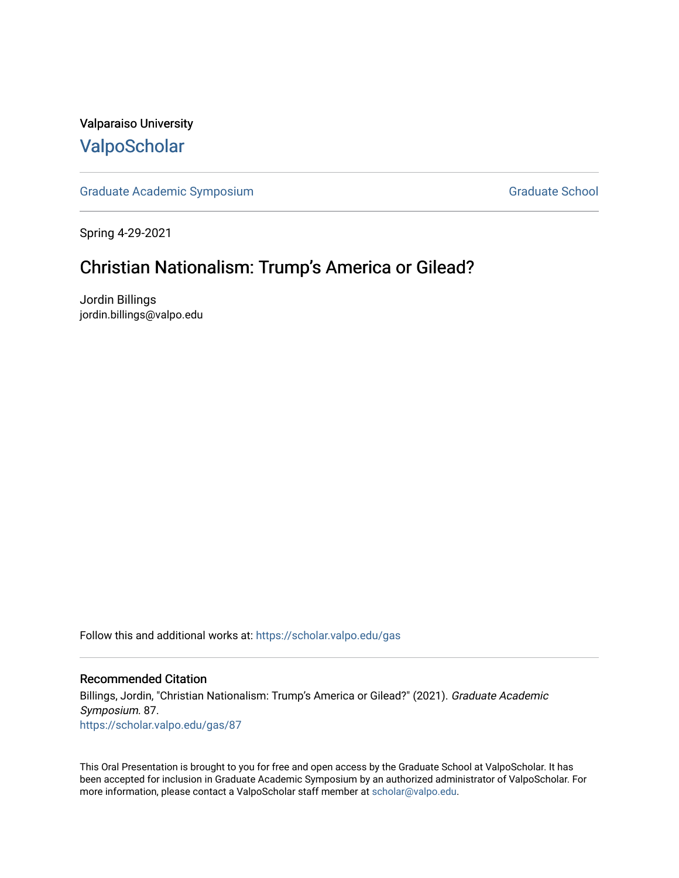## Valparaiso University [ValpoScholar](https://scholar.valpo.edu/)

[Graduate Academic Symposium](https://scholar.valpo.edu/gas) [Graduate School](https://scholar.valpo.edu/grad) Graduate School

Spring 4-29-2021

# Christian Nationalism: Trump's America or Gilead?

Jordin Billings jordin.billings@valpo.edu

Follow this and additional works at: [https://scholar.valpo.edu/gas](https://scholar.valpo.edu/gas?utm_source=scholar.valpo.edu%2Fgas%2F87&utm_medium=PDF&utm_campaign=PDFCoverPages) 

### Recommended Citation

Billings, Jordin, "Christian Nationalism: Trump's America or Gilead?" (2021). Graduate Academic Symposium. 87. [https://scholar.valpo.edu/gas/87](https://scholar.valpo.edu/gas/87?utm_source=scholar.valpo.edu%2Fgas%2F87&utm_medium=PDF&utm_campaign=PDFCoverPages) 

This Oral Presentation is brought to you for free and open access by the Graduate School at ValpoScholar. It has been accepted for inclusion in Graduate Academic Symposium by an authorized administrator of ValpoScholar. For more information, please contact a ValpoScholar staff member at [scholar@valpo.edu.](mailto:scholar@valpo.edu)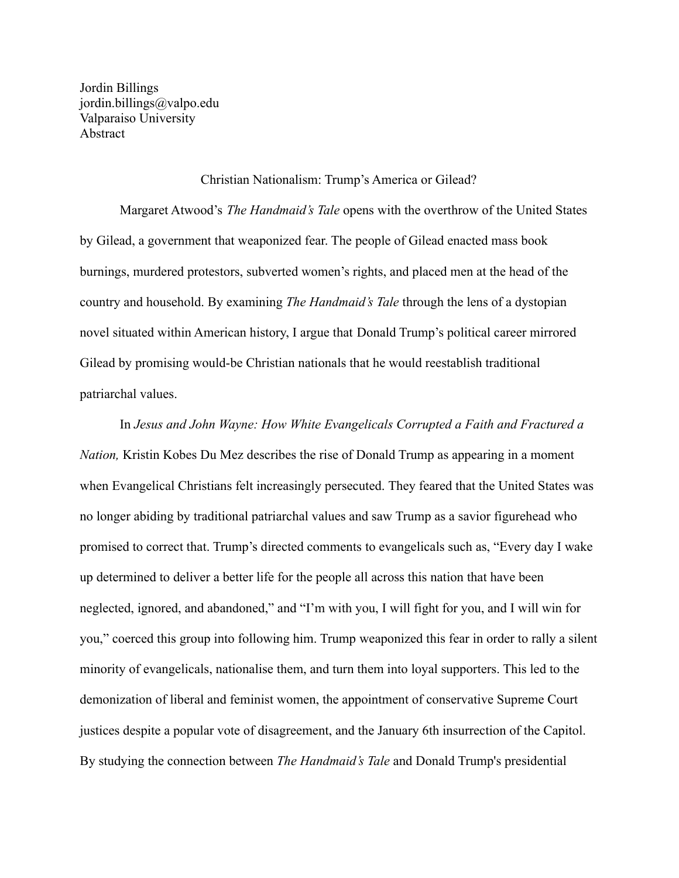Jordin Billings jordin.billings@valpo.edu Valparaiso University Abstract

### Christian Nationalism: Trump's America or Gilead?

Margaret Atwood's *The Handmaid's Tale* opens with the overthrow of the United States by Gilead, a government that weaponized fear. The people of Gilead enacted mass book burnings, murdered protestors, subverted women's rights, and placed men at the head of the country and household. By examining *The Handmaid's Tale* through the lens of a dystopian novel situated within American history, I argue that Donald Trump's political career mirrored Gilead by promising would-be Christian nationals that he would reestablish traditional patriarchal values.

In *Jesus and John Wayne: How White Evangelicals Corrupted a Faith and Fractured a Nation,* Kristin Kobes Du Mez describes the rise of Donald Trump as appearing in a moment when Evangelical Christians felt increasingly persecuted. They feared that the United States was no longer abiding by traditional patriarchal values and saw Trump as a savior figurehead who promised to correct that. Trump's directed comments to evangelicals such as, "Every day I wake up determined to deliver a better life for the people all across this nation that have been neglected, ignored, and abandoned," and "I'm with you, I will fight for you, and I will win for you," coerced this group into following him. Trump weaponized this fear in order to rally a silent minority of evangelicals, nationalise them, and turn them into loyal supporters. This led to the demonization of liberal and feminist women, the appointment of conservative Supreme Court justices despite a popular vote of disagreement, and the January 6th insurrection of the Capitol. By studying the connection between *The Handmaid's Tale* and Donald Trump's presidential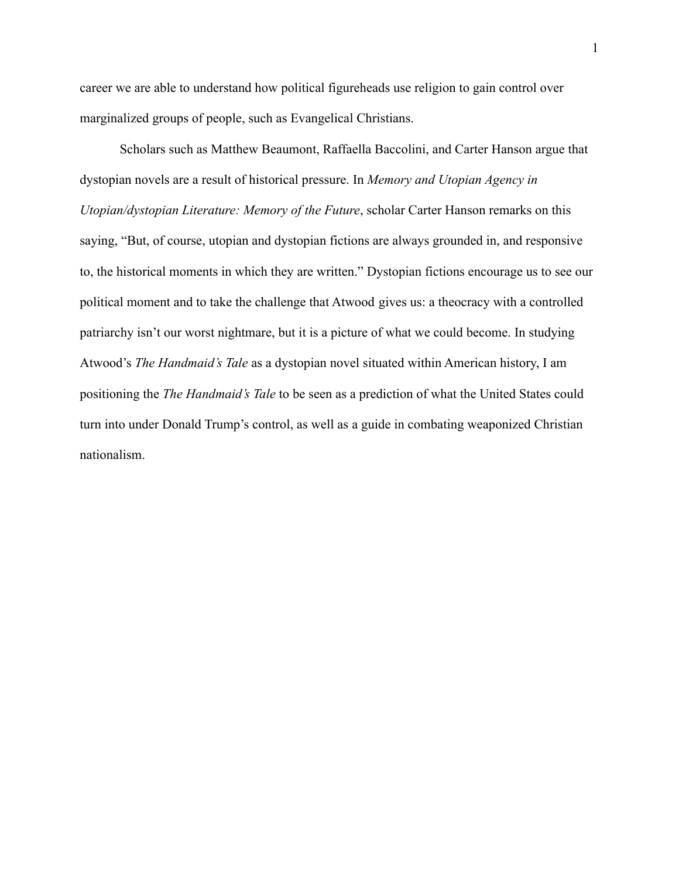career we are able to understand how political figureheads use religion to gain control over marginalized groups of people, such as Evangelical Christians.

Scholars such as Matthew Beaumont, Raffaella Baccolini, and Carter Hanson argue that dystopian novels are a result of historical pressure. In *Memory and Utopian Agency in Utopian/dystopian Literature: Memory of the Future*, scholar Carter Hanson remarks on this saying, "But, of course, utopian and dystopian fictions are always grounded in, and responsive to, the historical moments in which they are written." Dystopian fictions encourage us to see our political moment and to take the challenge that Atwood gives us: a theocracy with a controlled patriarchy isn't our worst nightmare, but it is a picture of what we could become. In studying Atwood's *The Handmaid's Tale* as a dystopian novel situated within American history, I am positioning the *The Handmaid's Tale* to be seen as a prediction of what the United States could turn into under Donald Trump's control, as well as a guide in combating weaponized Christian nationalism.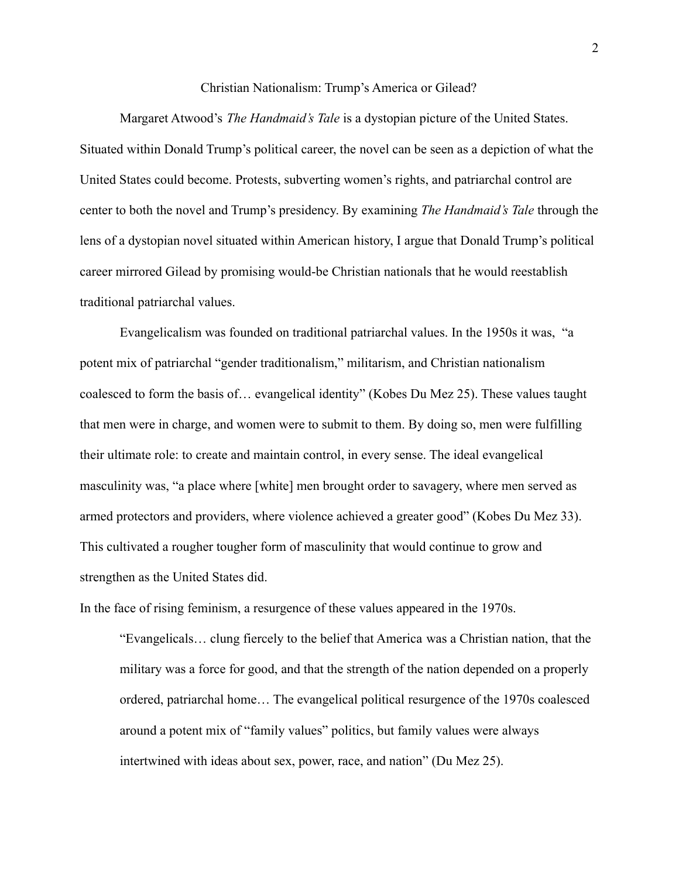### Christian Nationalism: Trump's America or Gilead?

Margaret Atwood's *The Handmaid's Tale* is a dystopian picture of the United States. Situated within Donald Trump's political career, the novel can be seen as a depiction of what the United States could become. Protests, subverting women's rights, and patriarchal control are center to both the novel and Trump's presidency. By examining *The Handmaid's Tale* through the lens of a dystopian novel situated within American history, I argue that Donald Trump's political career mirrored Gilead by promising would-be Christian nationals that he would reestablish traditional patriarchal values.

Evangelicalism was founded on traditional patriarchal values. In the 1950s it was, "a potent mix of patriarchal "gender traditionalism," militarism, and Christian nationalism coalesced to form the basis of… evangelical identity" (Kobes Du Mez 25). These values taught that men were in charge, and women were to submit to them. By doing so, men were fulfilling their ultimate role: to create and maintain control, in every sense. The ideal evangelical masculinity was, "a place where [white] men brought order to savagery, where men served as armed protectors and providers, where violence achieved a greater good" (Kobes Du Mez 33). This cultivated a rougher tougher form of masculinity that would continue to grow and strengthen as the United States did.

In the face of rising feminism, a resurgence of these values appeared in the 1970s.

"Evangelicals… clung fiercely to the belief that America was a Christian nation, that the military was a force for good, and that the strength of the nation depended on a properly ordered, patriarchal home… The evangelical political resurgence of the 1970s coalesced around a potent mix of "family values" politics, but family values were always intertwined with ideas about sex, power, race, and nation" (Du Mez 25).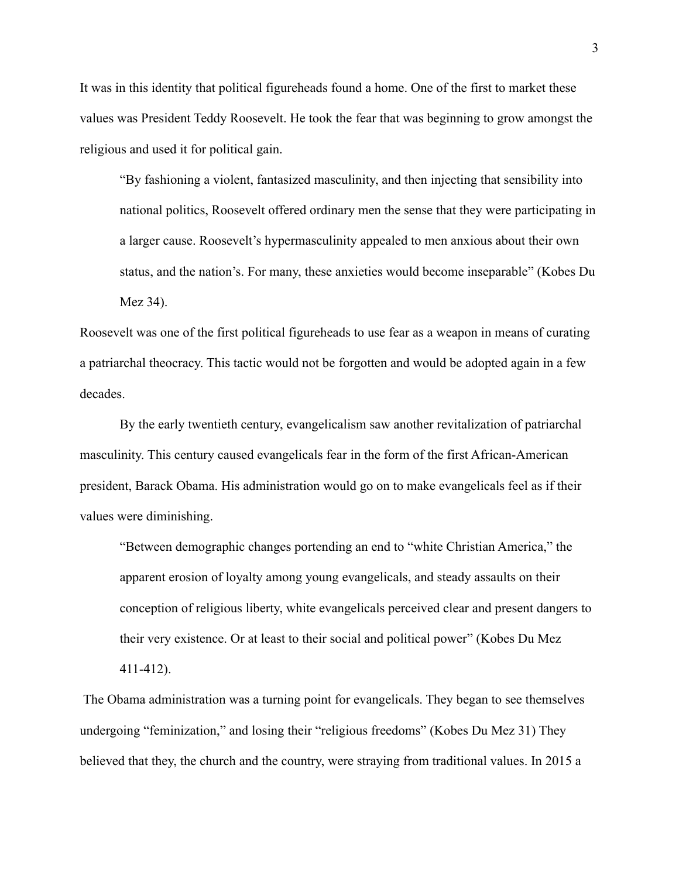It was in this identity that political figureheads found a home. One of the first to market these values was President Teddy Roosevelt. He took the fear that was beginning to grow amongst the religious and used it for political gain.

"By fashioning a violent, fantasized masculinity, and then injecting that sensibility into national politics, Roosevelt offered ordinary men the sense that they were participating in a larger cause. Roosevelt's hypermasculinity appealed to men anxious about their own status, and the nation's. For many, these anxieties would become inseparable" (Kobes Du Mez 34).

Roosevelt was one of the first political figureheads to use fear as a weapon in means of curating a patriarchal theocracy. This tactic would not be forgotten and would be adopted again in a few decades.

By the early twentieth century, evangelicalism saw another revitalization of patriarchal masculinity. This century caused evangelicals fear in the form of the first African-American president, Barack Obama. His administration would go on to make evangelicals feel as if their values were diminishing.

"Between demographic changes portending an end to "white Christian America," the apparent erosion of loyalty among young evangelicals, and steady assaults on their conception of religious liberty, white evangelicals perceived clear and present dangers to their very existence. Or at least to their social and political power" (Kobes Du Mez 411-412).

The Obama administration was a turning point for evangelicals. They began to see themselves undergoing "feminization," and losing their "religious freedoms" (Kobes Du Mez 31) They believed that they, the church and the country, were straying from traditional values. In 2015 a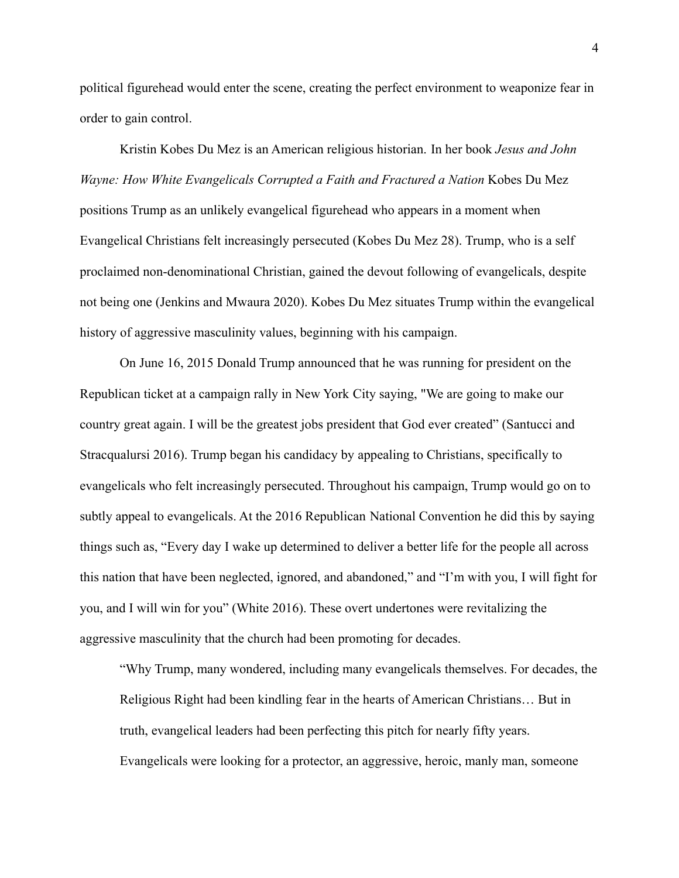political figurehead would enter the scene, creating the perfect environment to weaponize fear in order to gain control.

Kristin Kobes Du Mez is an American religious historian. In her book *Jesus and John Wayne: How White Evangelicals Corrupted a Faith and Fractured a Nation* Kobes Du Mez positions Trump as an unlikely evangelical figurehead who appears in a moment when Evangelical Christians felt increasingly persecuted (Kobes Du Mez 28). Trump, who is a self proclaimed non-denominational Christian, gained the devout following of evangelicals, despite not being one (Jenkins and Mwaura 2020). Kobes Du Mez situates Trump within the evangelical history of aggressive masculinity values, beginning with his campaign.

On June 16, 2015 Donald Trump announced that he was running for president on the Republican ticket at a campaign rally in New York City saying, "We are going to make our country great again. I will be the greatest jobs president that God ever created" (Santucci and Stracqualursi 2016). Trump began his candidacy by appealing to Christians, specifically to evangelicals who felt increasingly persecuted. Throughout his campaign, Trump would go on to subtly appeal to evangelicals. At the 2016 Republican National Convention he did this by saying things such as, "Every day I wake up determined to deliver a better life for the people all across this nation that have been neglected, ignored, and abandoned," and "I'm with you, I will fight for you, and I will win for you" (White 2016). These overt undertones were revitalizing the aggressive masculinity that the church had been promoting for decades.

"Why Trump, many wondered, including many evangelicals themselves. For decades, the Religious Right had been kindling fear in the hearts of American Christians… But in truth, evangelical leaders had been perfecting this pitch for nearly fifty years. Evangelicals were looking for a protector, an aggressive, heroic, manly man, someone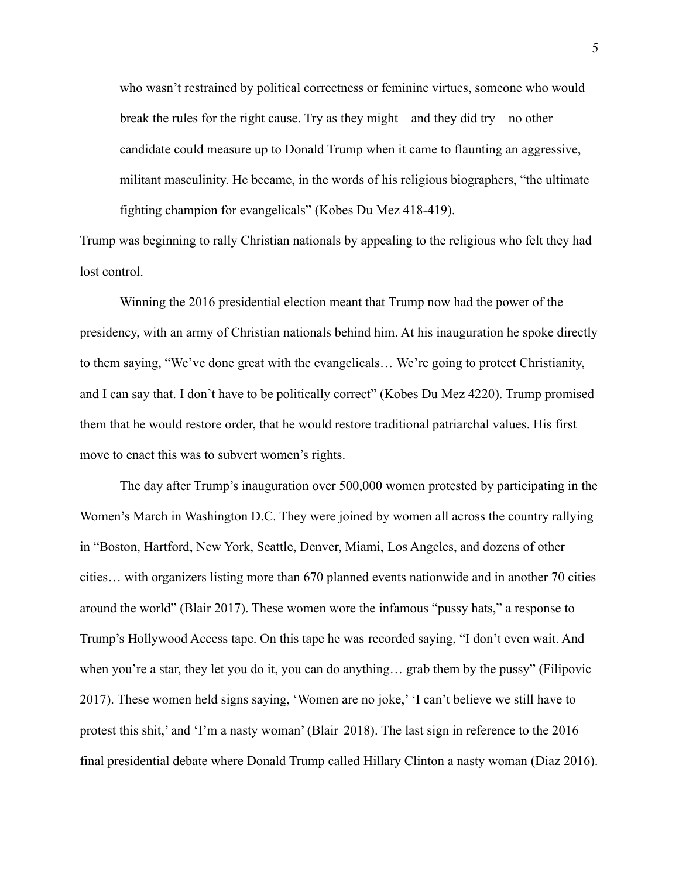who wasn't restrained by political correctness or feminine virtues, someone who would break the rules for the right cause. Try as they might—and they did try—no other candidate could measure up to Donald Trump when it came to flaunting an aggressive, militant masculinity. He became, in the words of his religious biographers, "the ultimate fighting champion for evangelicals" (Kobes Du Mez 418-419).

Trump was beginning to rally Christian nationals by appealing to the religious who felt they had lost control.

Winning the 2016 presidential election meant that Trump now had the power of the presidency, with an army of Christian nationals behind him. At his inauguration he spoke directly to them saying, "We've done great with the evangelicals… We're going to protect Christianity, and I can say that. I don't have to be politically correct" (Kobes Du Mez 4220). Trump promised them that he would restore order, that he would restore traditional patriarchal values. His first move to enact this was to subvert women's rights.

The day after Trump's inauguration over 500,000 women protested by participating in the Women's March in Washington D.C. They were joined by women all across the country rallying in "Boston, Hartford, New York, Seattle, Denver, Miami, Los Angeles, and dozens of other cities… with organizers listing more than 670 planned events nationwide and in another 70 cities around the world" (Blair 2017). These women wore the infamous "pussy hats," a response to Trump's Hollywood Access tape. On this tape he was recorded saying, "I don't even wait. And when you're a star, they let you do it, you can do anything… grab them by the pussy" (Filipovic 2017). These women held signs saying, 'Women are no joke,' 'I can't believe we still have to protest this shit,' and 'I'm a nasty woman' (Blair 2018). The last sign in reference to the 2016 final presidential debate where Donald Trump called Hillary Clinton a nasty woman (Diaz 2016).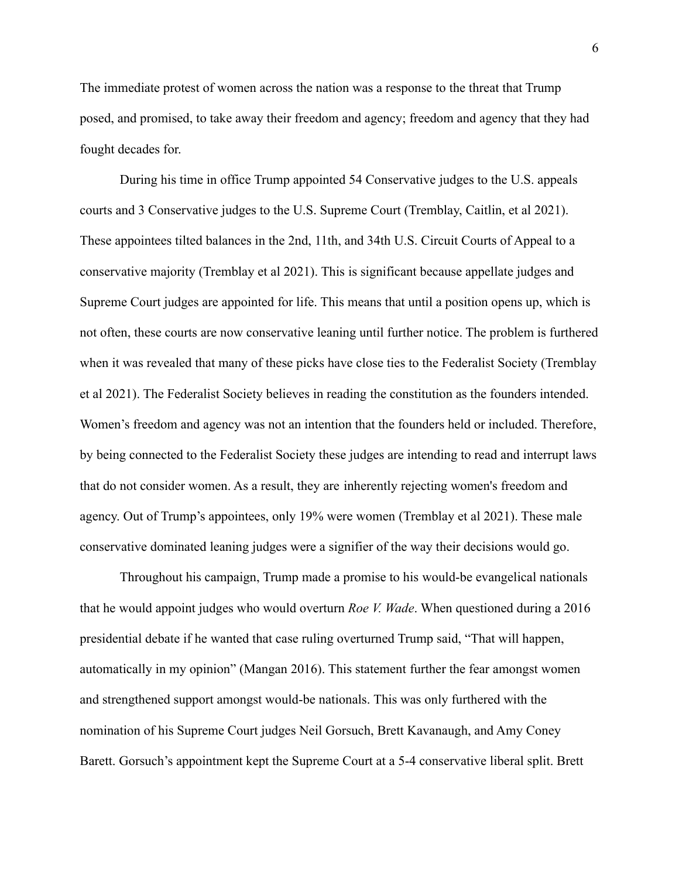The immediate protest of women across the nation was a response to the threat that Trump posed, and promised, to take away their freedom and agency; freedom and agency that they had fought decades for.

During his time in office Trump appointed 54 Conservative judges to the U.S. appeals courts and 3 Conservative judges to the U.S. Supreme Court (Tremblay, Caitlin, et al 2021). These appointees tilted balances in the 2nd, 11th, and 34th U.S. Circuit Courts of Appeal to a conservative majority (Tremblay et al 2021). This is significant because appellate judges and Supreme Court judges are appointed for life. This means that until a position opens up, which is not often, these courts are now conservative leaning until further notice. The problem is furthered when it was revealed that many of these picks have close ties to the Federalist Society (Tremblay et al 2021). The Federalist Society believes in reading the constitution as the founders intended. Women's freedom and agency was not an intention that the founders held or included. Therefore, by being connected to the Federalist Society these judges are intending to read and interrupt laws that do not consider women. As a result, they are inherently rejecting women's freedom and agency. Out of Trump's appointees, only 19% were women (Tremblay et al 2021). These male conservative dominated leaning judges were a signifier of the way their decisions would go.

Throughout his campaign, Trump made a promise to his would-be evangelical nationals that he would appoint judges who would overturn *Roe V. Wade*. When questioned during a 2016 presidential debate if he wanted that case ruling overturned Trump said, "That will happen, automatically in my opinion" (Mangan 2016). This statement further the fear amongst women and strengthened support amongst would-be nationals. This was only furthered with the nomination of his Supreme Court judges Neil Gorsuch, Brett Kavanaugh, and Amy Coney Barett. Gorsuch's appointment kept the Supreme Court at a 5-4 conservative liberal split. Brett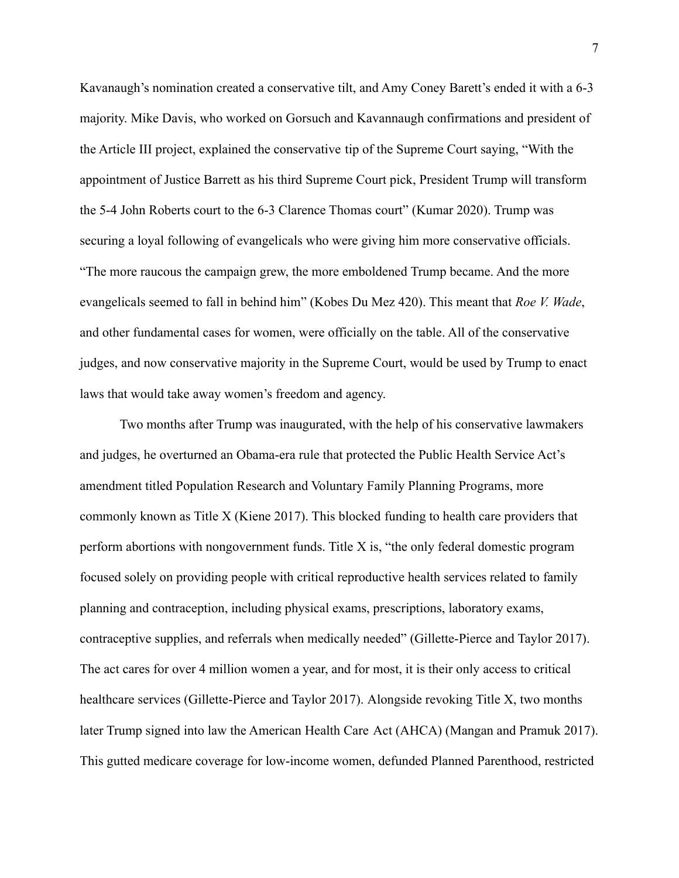Kavanaugh's nomination created a conservative tilt, and Amy Coney Barett's ended it with a 6-3 majority. Mike Davis, who worked on Gorsuch and Kavannaugh confirmations and president of the Article III project, explained the conservative tip of the Supreme Court saying, "With the appointment of Justice Barrett as his third Supreme Court pick, President Trump will transform the 5-4 John Roberts court to the 6-3 Clarence Thomas court" (Kumar 2020). Trump was securing a loyal following of evangelicals who were giving him more conservative officials. "The more raucous the campaign grew, the more emboldened Trump became. And the more evangelicals seemed to fall in behind him" (Kobes Du Mez 420). This meant that *Roe V. Wade*, and other fundamental cases for women, were officially on the table. All of the conservative judges, and now conservative majority in the Supreme Court, would be used by Trump to enact laws that would take away women's freedom and agency.

Two months after Trump was inaugurated, with the help of his conservative lawmakers and judges, he overturned an Obama-era rule that protected the Public Health Service Act's amendment titled Population Research and Voluntary Family Planning Programs, more commonly known as Title X (Kiene 2017). This blocked funding to health care providers that perform abortions with nongovernment funds. Title X is, "the only federal domestic program focused solely on providing people with critical reproductive health services related to family planning and contraception, including physical exams, prescriptions, laboratory exams, contraceptive supplies, and referrals when medically needed" (Gillette-Pierce and Taylor 2017). The act cares for over 4 million women a year, and for most, it is their only access to critical healthcare services (Gillette-Pierce and Taylor 2017). Alongside revoking Title X, two months later Trump signed into law the American Health Care Act (AHCA) (Mangan and Pramuk 2017). This gutted medicare coverage for low-income women, defunded Planned Parenthood, restricted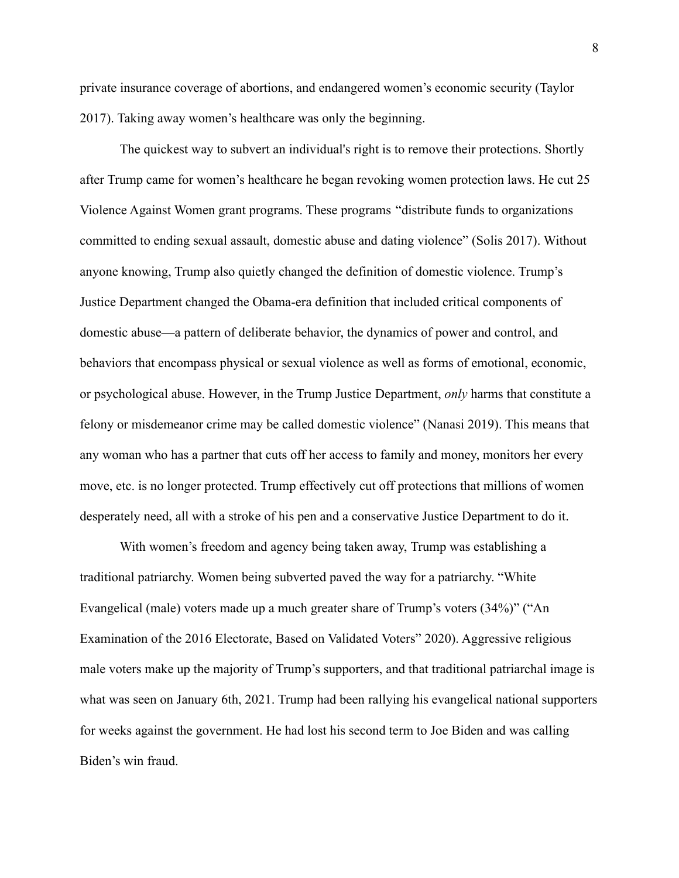private insurance coverage of abortions, and endangered women's economic security (Taylor 2017). Taking away women's healthcare was only the beginning.

The quickest way to subvert an individual's right is to remove their protections. Shortly after Trump came for women's healthcare he began revoking women protection laws. He cut 25 Violence Against Women grant programs. These programs "distribute funds to organizations committed to ending sexual assault, domestic abuse and dating violence" (Solis 2017). Without anyone knowing, Trump also quietly changed the definition of domestic violence. Trump's Justice Department changed the Obama-era definition that included critical components of domestic abuse—a pattern of deliberate behavior, the dynamics of power and control, and behaviors that encompass physical or sexual violence as well as forms of emotional, economic, or psychological abuse. However, in the Trump Justice Department, *only* harms that constitute a felony or misdemeanor crime may be called domestic violence" (Nanasi 2019). This means that any woman who has a partner that cuts off her access to family and money, monitors her every move, etc. is no longer protected. Trump effectively cut off protections that millions of women desperately need, all with a stroke of his pen and a conservative Justice Department to do it.

With women's freedom and agency being taken away, Trump was establishing a traditional patriarchy. Women being subverted paved the way for a patriarchy. "White Evangelical (male) voters made up a much greater share of Trump's voters (34%)" ("An Examination of the 2016 Electorate, Based on Validated Voters" 2020). Aggressive religious male voters make up the majority of Trump's supporters, and that traditional patriarchal image is what was seen on January 6th, 2021. Trump had been rallying his evangelical national supporters for weeks against the government. He had lost his second term to Joe Biden and was calling Biden's win fraud.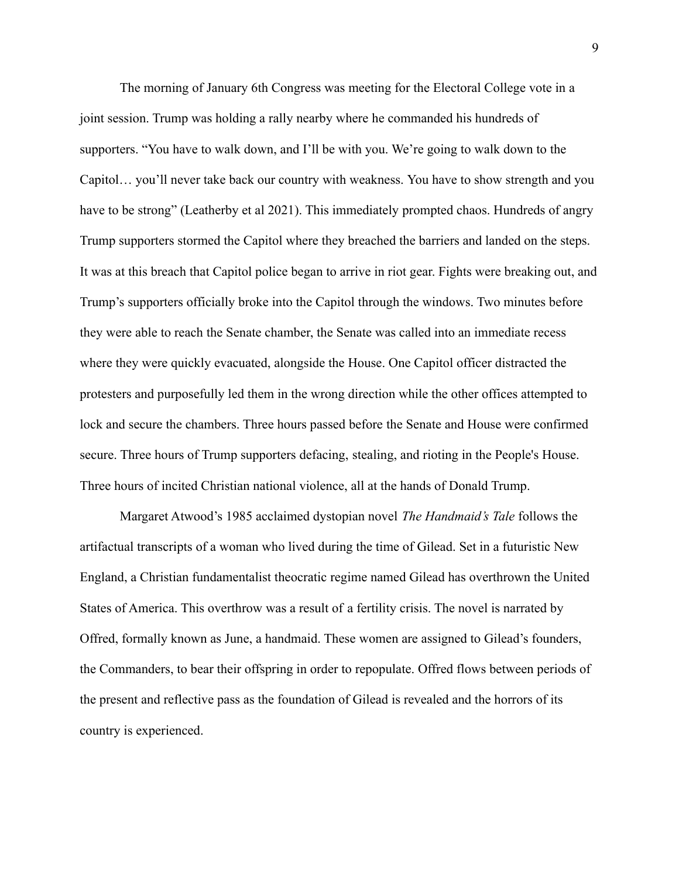The morning of January 6th Congress was meeting for the Electoral College vote in a joint session. Trump was holding a rally nearby where he commanded his hundreds of supporters. "You have to walk down, and I'll be with you. We're going to walk down to the Capitol… you'll never take back our country with weakness. You have to show strength and you have to be strong" (Leatherby et al 2021). This immediately prompted chaos. Hundreds of angry Trump supporters stormed the Capitol where they breached the barriers and landed on the steps. It was at this breach that Capitol police began to arrive in riot gear. Fights were breaking out, and Trump's supporters officially broke into the Capitol through the windows. Two minutes before they were able to reach the Senate chamber, the Senate was called into an immediate recess where they were quickly evacuated, alongside the House. One Capitol officer distracted the protesters and purposefully led them in the wrong direction while the other offices attempted to lock and secure the chambers. Three hours passed before the Senate and House were confirmed secure. Three hours of Trump supporters defacing, stealing, and rioting in the People's House. Three hours of incited Christian national violence, all at the hands of Donald Trump.

Margaret Atwood's 1985 acclaimed dystopian novel *The Handmaid's Tale* follows the artifactual transcripts of a woman who lived during the time of Gilead. Set in a futuristic New England, a Christian fundamentalist theocratic regime named Gilead has overthrown the United States of America. This overthrow was a result of a fertility crisis. The novel is narrated by Offred, formally known as June, a handmaid. These women are assigned to Gilead's founders, the Commanders, to bear their offspring in order to repopulate. Offred flows between periods of the present and reflective pass as the foundation of Gilead is revealed and the horrors of its country is experienced.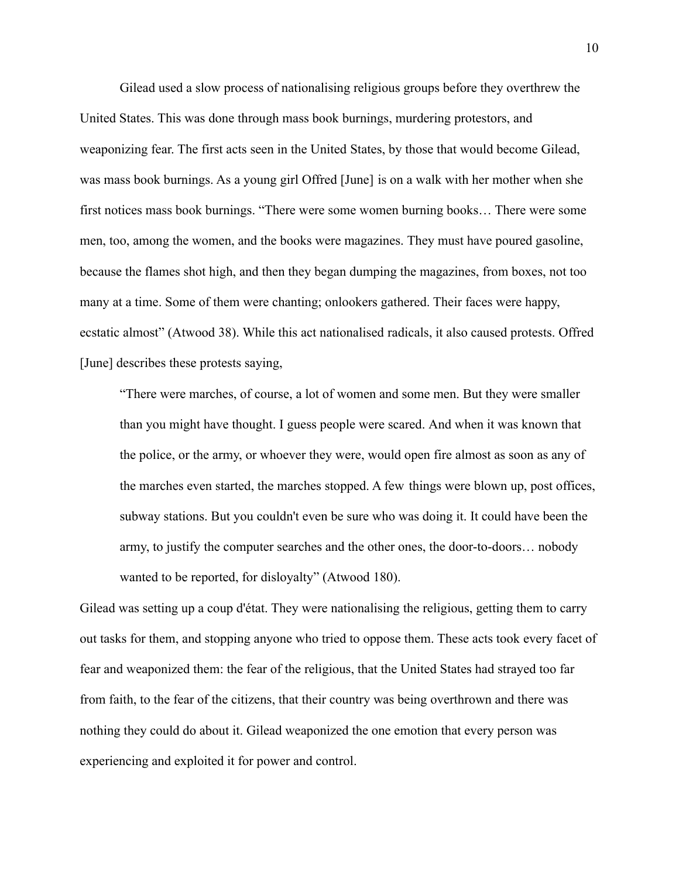Gilead used a slow process of nationalising religious groups before they overthrew the United States. This was done through mass book burnings, murdering protestors, and weaponizing fear. The first acts seen in the United States, by those that would become Gilead, was mass book burnings. As a young girl Offred [June] is on a walk with her mother when she first notices mass book burnings. "There were some women burning books… There were some men, too, among the women, and the books were magazines. They must have poured gasoline, because the flames shot high, and then they began dumping the magazines, from boxes, not too many at a time. Some of them were chanting; onlookers gathered. Their faces were happy, ecstatic almost" (Atwood 38). While this act nationalised radicals, it also caused protests. Offred [June] describes these protests saying,

"There were marches, of course, a lot of women and some men. But they were smaller than you might have thought. I guess people were scared. And when it was known that the police, or the army, or whoever they were, would open fire almost as soon as any of the marches even started, the marches stopped. A few things were blown up, post offices, subway stations. But you couldn't even be sure who was doing it. It could have been the army, to justify the computer searches and the other ones, the door-to-doors… nobody wanted to be reported, for disloyalty" (Atwood 180).

Gilead was setting up a coup d'état. They were nationalising the religious, getting them to carry out tasks for them, and stopping anyone who tried to oppose them. These acts took every facet of fear and weaponized them: the fear of the religious, that the United States had strayed too far from faith, to the fear of the citizens, that their country was being overthrown and there was nothing they could do about it. Gilead weaponized the one emotion that every person was experiencing and exploited it for power and control.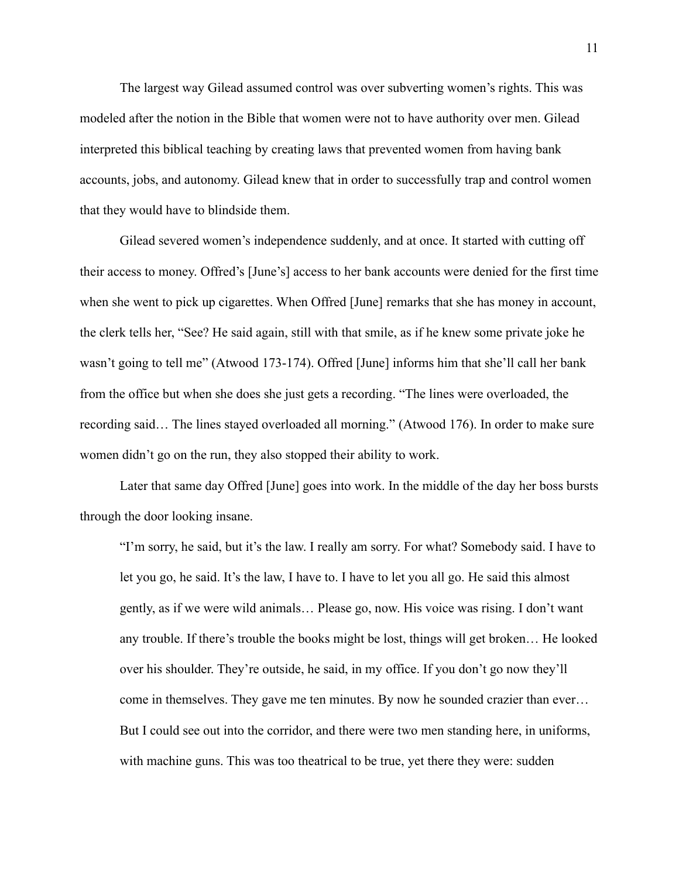The largest way Gilead assumed control was over subverting women's rights. This was modeled after the notion in the Bible that women were not to have authority over men. Gilead interpreted this biblical teaching by creating laws that prevented women from having bank accounts, jobs, and autonomy. Gilead knew that in order to successfully trap and control women that they would have to blindside them.

Gilead severed women's independence suddenly, and at once. It started with cutting off their access to money. Offred's [June's] access to her bank accounts were denied for the first time when she went to pick up cigarettes. When Offred [June] remarks that she has money in account, the clerk tells her, "See? He said again, still with that smile, as if he knew some private joke he wasn't going to tell me" (Atwood 173-174). Offred [June] informs him that she'll call her bank from the office but when she does she just gets a recording. "The lines were overloaded, the recording said… The lines stayed overloaded all morning." (Atwood 176). In order to make sure women didn't go on the run, they also stopped their ability to work.

Later that same day Offred [June] goes into work. In the middle of the day her boss bursts through the door looking insane.

"I'm sorry, he said, but it's the law. I really am sorry. For what? Somebody said. I have to let you go, he said. It's the law, I have to. I have to let you all go. He said this almost gently, as if we were wild animals… Please go, now. His voice was rising. I don't want any trouble. If there's trouble the books might be lost, things will get broken… He looked over his shoulder. They're outside, he said, in my office. If you don't go now they'll come in themselves. They gave me ten minutes. By now he sounded crazier than ever… But I could see out into the corridor, and there were two men standing here, in uniforms, with machine guns. This was too theatrical to be true, yet there they were: sudden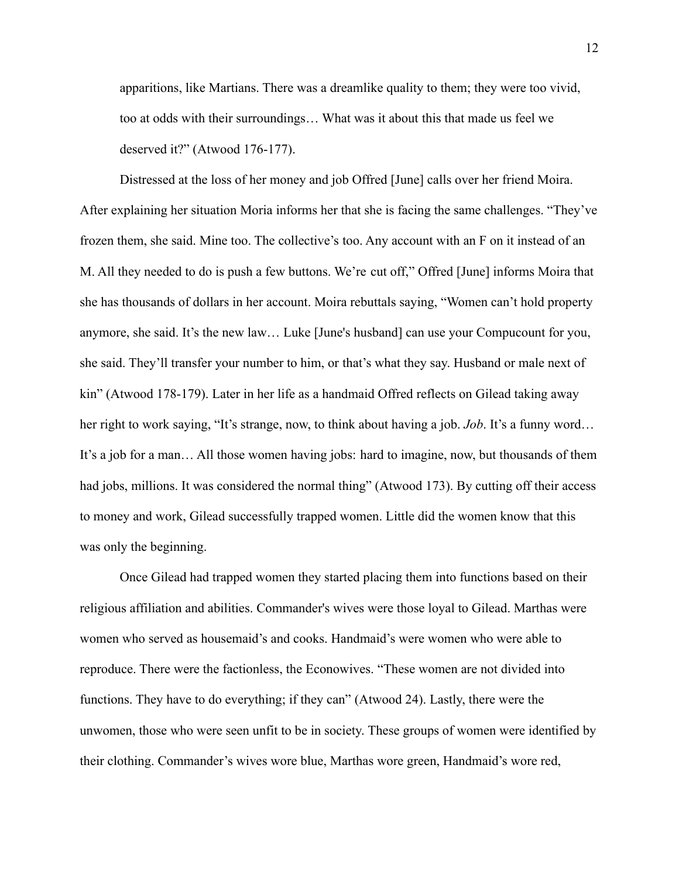apparitions, like Martians. There was a dreamlike quality to them; they were too vivid, too at odds with their surroundings… What was it about this that made us feel we deserved it?" (Atwood 176-177).

Distressed at the loss of her money and job Offred [June] calls over her friend Moira. After explaining her situation Moria informs her that she is facing the same challenges. "They've frozen them, she said. Mine too. The collective's too. Any account with an F on it instead of an M. All they needed to do is push a few buttons. We're cut off," Offred [June] informs Moira that she has thousands of dollars in her account. Moira rebuttals saying, "Women can't hold property anymore, she said. It's the new law… Luke [June's husband] can use your Compucount for you, she said. They'll transfer your number to him, or that's what they say. Husband or male next of kin" (Atwood 178-179). Later in her life as a handmaid Offred reflects on Gilead taking away her right to work saying, "It's strange, now, to think about having a job. *Job*. It's a funny word… It's a job for a man… All those women having jobs: hard to imagine, now, but thousands of them had jobs, millions. It was considered the normal thing" (Atwood 173). By cutting off their access to money and work, Gilead successfully trapped women. Little did the women know that this was only the beginning.

Once Gilead had trapped women they started placing them into functions based on their religious affiliation and abilities. Commander's wives were those loyal to Gilead. Marthas were women who served as housemaid's and cooks. Handmaid's were women who were able to reproduce. There were the factionless, the Econowives. "These women are not divided into functions. They have to do everything; if they can" (Atwood 24). Lastly, there were the unwomen, those who were seen unfit to be in society. These groups of women were identified by their clothing. Commander's wives wore blue, Marthas wore green, Handmaid's wore red,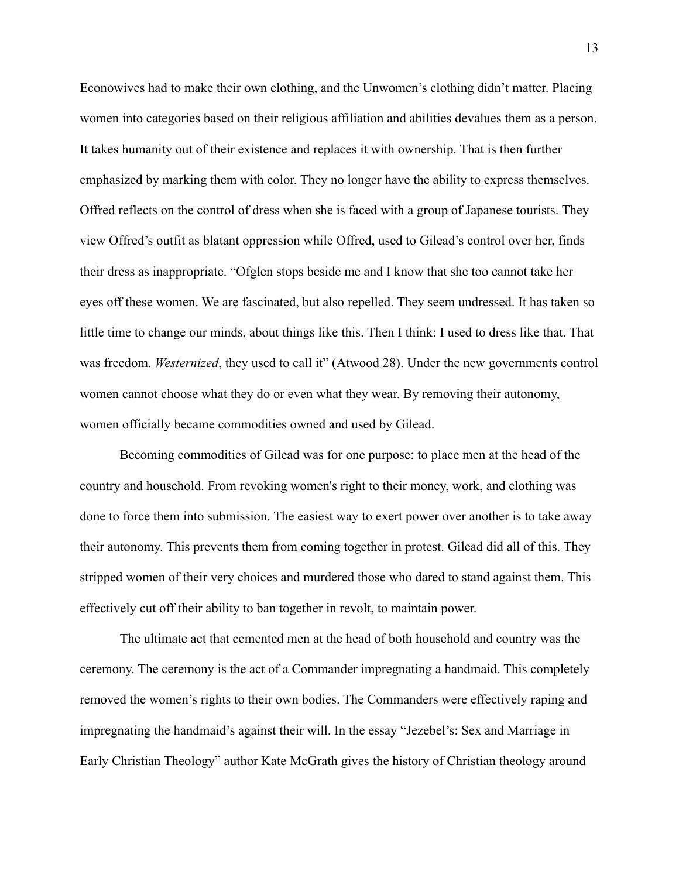Econowives had to make their own clothing, and the Unwomen's clothing didn't matter. Placing women into categories based on their religious affiliation and abilities devalues them as a person. It takes humanity out of their existence and replaces it with ownership. That is then further emphasized by marking them with color. They no longer have the ability to express themselves. Offred reflects on the control of dress when she is faced with a group of Japanese tourists. They view Offred's outfit as blatant oppression while Offred, used to Gilead's control over her, finds their dress as inappropriate. "Ofglen stops beside me and I know that she too cannot take her eyes off these women. We are fascinated, but also repelled. They seem undressed. It has taken so little time to change our minds, about things like this. Then I think: I used to dress like that. That was freedom. *Westernized*, they used to call it" (Atwood 28). Under the new governments control women cannot choose what they do or even what they wear. By removing their autonomy, women officially became commodities owned and used by Gilead.

Becoming commodities of Gilead was for one purpose: to place men at the head of the country and household. From revoking women's right to their money, work, and clothing was done to force them into submission. The easiest way to exert power over another is to take away their autonomy. This prevents them from coming together in protest. Gilead did all of this. They stripped women of their very choices and murdered those who dared to stand against them. This effectively cut off their ability to ban together in revolt, to maintain power.

The ultimate act that cemented men at the head of both household and country was the ceremony. The ceremony is the act of a Commander impregnating a handmaid. This completely removed the women's rights to their own bodies. The Commanders were effectively raping and impregnating the handmaid's against their will. In the essay "Jezebel's: Sex and Marriage in Early Christian Theology" author Kate McGrath gives the history of Christian theology around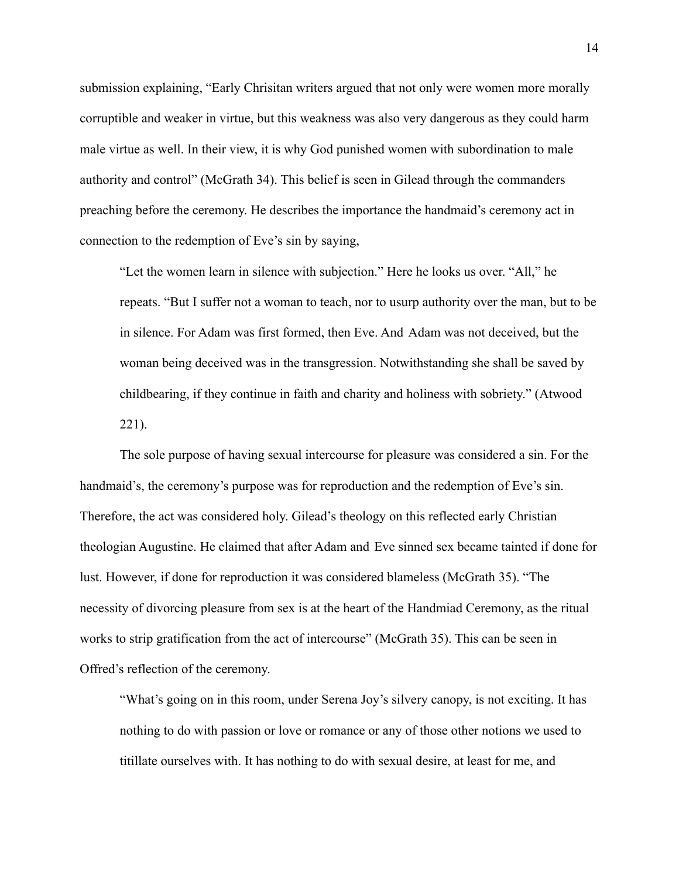submission explaining, "Early Chrisitan writers argued that not only were women more morally corruptible and weaker in virtue, but this weakness was also very dangerous as they could harm male virtue as well. In their view, it is why God punished women with subordination to male authority and control" (McGrath 34). This belief is seen in Gilead through the commanders preaching before the ceremony. He describes the importance the handmaid's ceremony act in connection to the redemption of Eve's sin by saying,

"Let the women learn in silence with subjection." Here he looks us over. "All," he repeats. "But I suffer not a woman to teach, nor to usurp authority over the man, but to be in silence. For Adam was first formed, then Eve. And Adam was not deceived, but the woman being deceived was in the transgression. Notwithstanding she shall be saved by childbearing, if they continue in faith and charity and holiness with sobriety." (Atwood 221).

The sole purpose of having sexual intercourse for pleasure was considered a sin. For the handmaid's, the ceremony's purpose was for reproduction and the redemption of Eve's sin. Therefore, the act was considered holy. Gilead's theology on this reflected early Christian theologian Augustine. He claimed that after Adam and Eve sinned sex became tainted if done for lust. However, if done for reproduction it was considered blameless (McGrath 35). "The necessity of divorcing pleasure from sex is at the heart of the Handmiad Ceremony, as the ritual works to strip gratification from the act of intercourse" (McGrath 35). This can be seen in Offred's reflection of the ceremony.

"What's going on in this room, under Serena Joy's silvery canopy, is not exciting. It has nothing to do with passion or love or romance or any of those other notions we used to titillate ourselves with. It has nothing to do with sexual desire, at least for me, and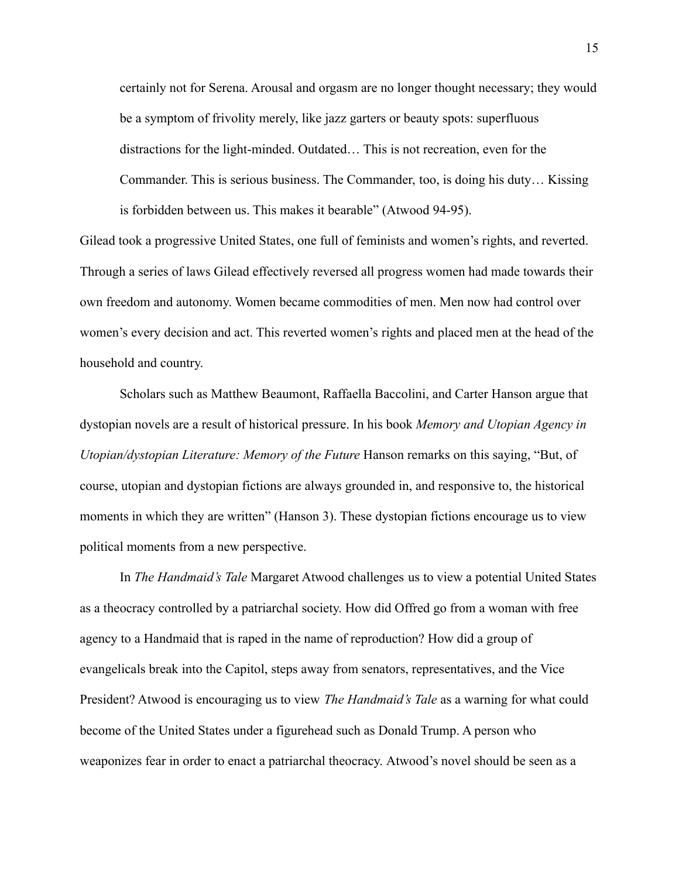certainly not for Serena. Arousal and orgasm are no longer thought necessary; they would be a symptom of frivolity merely, like jazz garters or beauty spots: superfluous distractions for the light-minded. Outdated… This is not recreation, even for the Commander. This is serious business. The Commander, too, is doing his duty… Kissing is forbidden between us. This makes it bearable" (Atwood 94-95).

Gilead took a progressive United States, one full of feminists and women's rights, and reverted. Through a series of laws Gilead effectively reversed all progress women had made towards their own freedom and autonomy. Women became commodities of men. Men now had control over women's every decision and act. This reverted women's rights and placed men at the head of the household and country.

Scholars such as Matthew Beaumont, Raffaella Baccolini, and Carter Hanson argue that dystopian novels are a result of historical pressure. In his book *Memory and Utopian Agency in Utopian/dystopian Literature: Memory of the Future* Hanson remarks on this saying, "But, of course, utopian and dystopian fictions are always grounded in, and responsive to, the historical moments in which they are written" (Hanson 3). These dystopian fictions encourage us to view political moments from a new perspective.

In *The Handmaid's Tale* Margaret Atwood challenges us to view a potential United States as a theocracy controlled by a patriarchal society. How did Offred go from a woman with free agency to a Handmaid that is raped in the name of reproduction? How did a group of evangelicals break into the Capitol, steps away from senators, representatives, and the Vice President? Atwood is encouraging us to view *The Handmaid's Tale* as a warning for what could become of the United States under a figurehead such as Donald Trump. A person who weaponizes fear in order to enact a patriarchal theocracy. Atwood's novel should be seen as a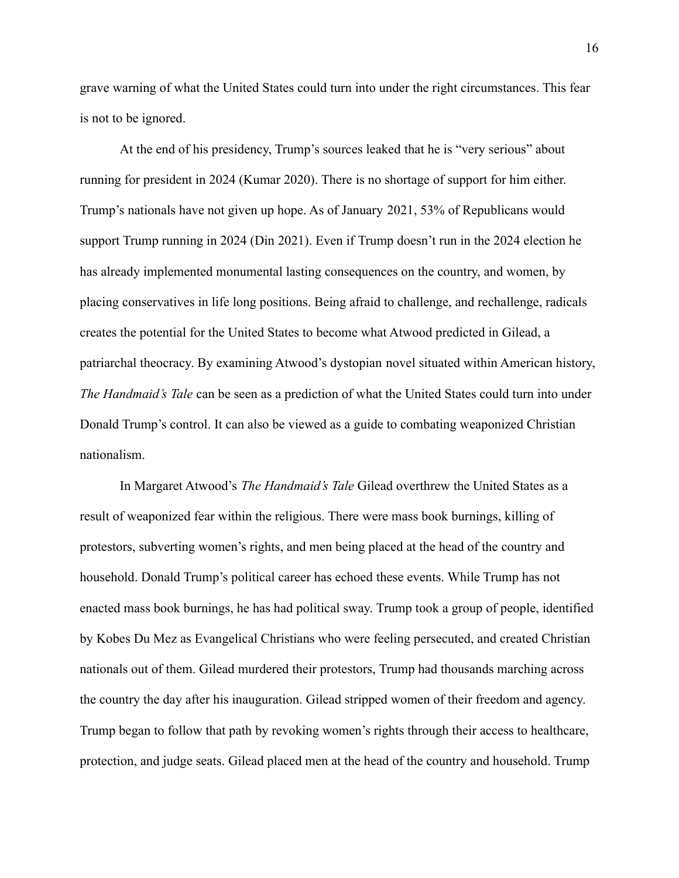grave warning of what the United States could turn into under the right circumstances. This fear is not to be ignored.

At the end of his presidency, Trump's sources leaked that he is "very serious" about running for president in 2024 (Kumar 2020). There is no shortage of support for him either. Trump's nationals have not given up hope. As of January 2021, 53% of Republicans would support Trump running in 2024 (Din 2021). Even if Trump doesn't run in the 2024 election he has already implemented monumental lasting consequences on the country, and women, by placing conservatives in life long positions. Being afraid to challenge, and rechallenge, radicals creates the potential for the United States to become what Atwood predicted in Gilead, a patriarchal theocracy. By examining Atwood's dystopian novel situated within American history, *The Handmaid's Tale* can be seen as a prediction of what the United States could turn into under Donald Trump's control. It can also be viewed as a guide to combating weaponized Christian nationalism.

In Margaret Atwood's *The Handmaid's Tale* Gilead overthrew the United States as a result of weaponized fear within the religious. There were mass book burnings, killing of protestors, subverting women's rights, and men being placed at the head of the country and household. Donald Trump's political career has echoed these events. While Trump has not enacted mass book burnings, he has had political sway. Trump took a group of people, identified by Kobes Du Mez as Evangelical Christians who were feeling persecuted, and created Christian nationals out of them. Gilead murdered their protestors, Trump had thousands marching across the country the day after his inauguration. Gilead stripped women of their freedom and agency. Trump began to follow that path by revoking women's rights through their access to healthcare, protection, and judge seats. Gilead placed men at the head of the country and household. Trump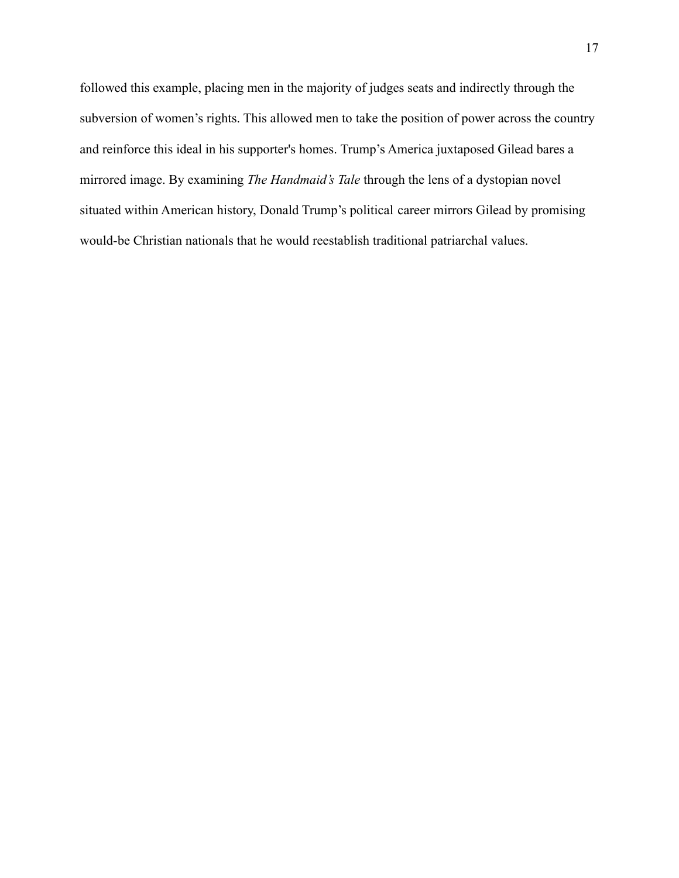followed this example, placing men in the majority of judges seats and indirectly through the subversion of women's rights. This allowed men to take the position of power across the country and reinforce this ideal in his supporter's homes. Trump's America juxtaposed Gilead bares a mirrored image. By examining *The Handmaid's Tale* through the lens of a dystopian novel situated within American history, Donald Trump's political career mirrors Gilead by promising would-be Christian nationals that he would reestablish traditional patriarchal values.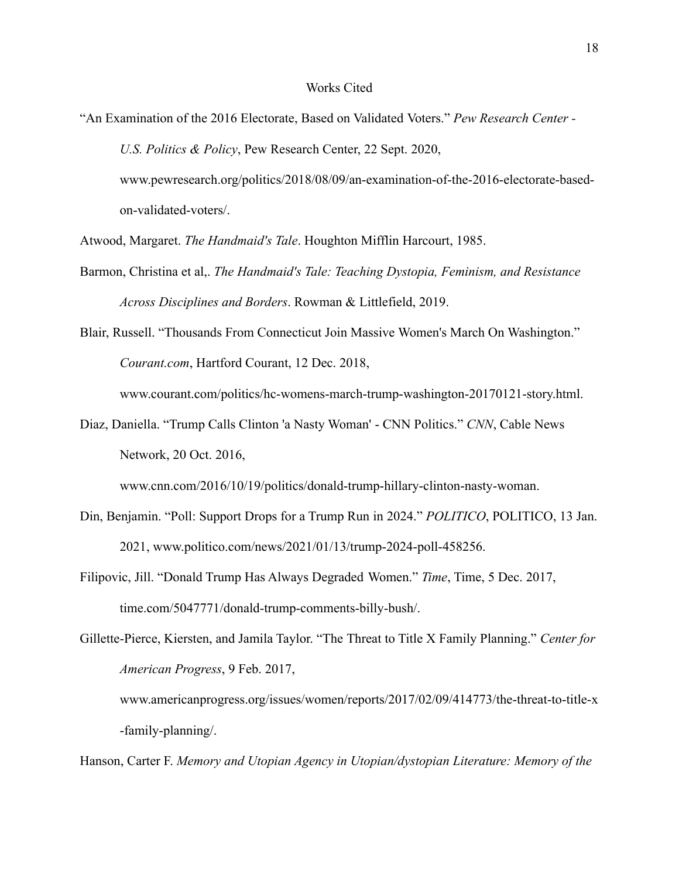#### Works Cited

"An Examination of the 2016 Electorate, Based on Validated Voters." *Pew Research Center - U.S. Politics & Policy*, Pew Research Center, 22 Sept. 2020,

www.pewresearch.org/politics/2018/08/09/an-examination-of-the-2016-electorate-basedon-validated-voters/.

Atwood, Margaret. *The Handmaid's Tale*. Houghton Mifflin Harcourt, 1985.

- Barmon, Christina et al,. *The Handmaid's Tale: Teaching Dystopia, Feminism, and Resistance Across Disciplines and Borders*. Rowman & Littlefield, 2019.
- Blair, Russell. "Thousands From Connecticut Join Massive Women's March On Washington." *Courant.com*, Hartford Courant, 12 Dec. 2018,

www.courant.com/politics/hc-womens-march-trump-washington-20170121-story.html.

Diaz, Daniella. "Trump Calls Clinton 'a Nasty Woman' - CNN Politics." *CNN*, Cable News Network, 20 Oct. 2016,

www.cnn.com/2016/10/19/politics/donald-trump-hillary-clinton-nasty-woman.

- Din, Benjamin. "Poll: Support Drops for a Trump Run in 2024." *POLITICO*, POLITICO, 13 Jan. 2021, www.politico.com/news/2021/01/13/trump-2024-poll-458256.
- Filipovic, Jill. "Donald Trump Has Always Degraded Women." *Time*, Time, 5 Dec. 2017, time.com/5047771/donald-trump-comments-billy-bush/.

Hanson, Carter F. *Memory and Utopian Agency in Utopian/dystopian Literature: Memory of the*

Gillette-Pierce, Kiersten, and Jamila Taylor. "The Threat to Title X Family Planning." *Center for American Progress*, 9 Feb. 2017, www.americanprogress.org/issues/women/reports/2017/02/09/414773/the-threat-to-title-x -family-planning/.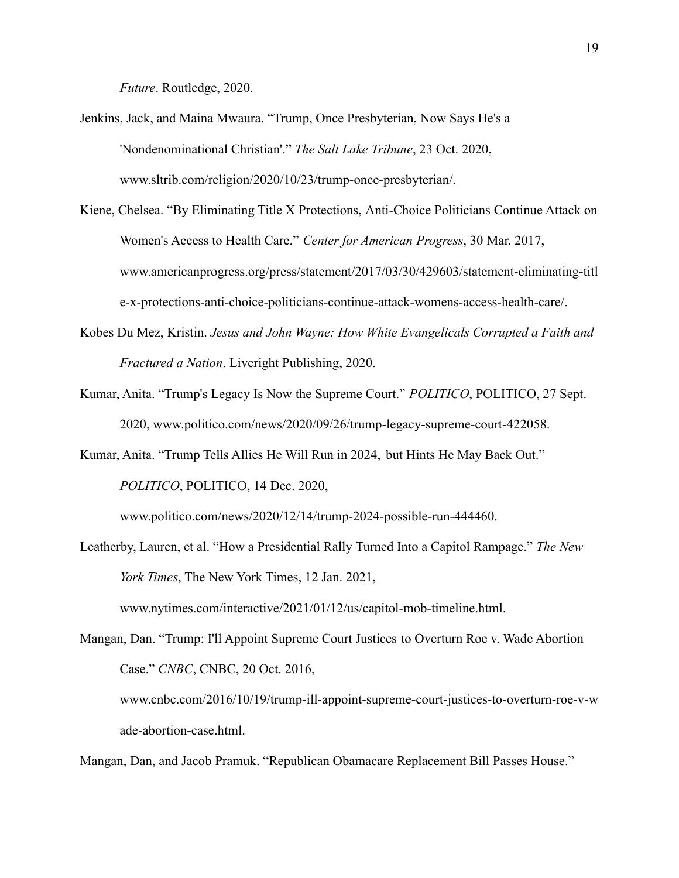*Future*. Routledge, 2020.

- Jenkins, Jack, and Maina Mwaura. "Trump, Once Presbyterian, Now Says He's a 'Nondenominational Christian'." *The Salt Lake Tribune*, 23 Oct. 2020, www.sltrib.com/religion/2020/10/23/trump-once-presbyterian/.
- Kiene, Chelsea. "By Eliminating Title X Protections, Anti-Choice Politicians Continue Attack on Women's Access to Health Care." *Center for American Progress*, 30 Mar. 2017, www.americanprogress.org/press/statement/2017/03/30/429603/statement-eliminating-titl e-x-protections-anti-choice-politicians-continue-attack-womens-access-health-care/.
- Kobes Du Mez, Kristin. *Jesus and John Wayne: How White Evangelicals Corrupted a Faith and Fractured a Nation*. Liveright Publishing, 2020.
- Kumar, Anita. "Trump's Legacy Is Now the Supreme Court." *POLITICO*, POLITICO, 27 Sept. 2020, www.politico.com/news/2020/09/26/trump-legacy-supreme-court-422058.
- Kumar, Anita. "Trump Tells Allies He Will Run in 2024, but Hints He May Back Out." *POLITICO*, POLITICO, 14 Dec. 2020,

www.politico.com/news/2020/12/14/trump-2024-possible-run-444460.

Leatherby, Lauren, et al. "How a Presidential Rally Turned Into a Capitol Rampage." *The New York Times*, The New York Times, 12 Jan. 2021,

www.nytimes.com/interactive/2021/01/12/us/capitol-mob-timeline.html.

- Mangan, Dan. "Trump: I'll Appoint Supreme Court Justices to Overturn Roe v. Wade Abortion Case." *CNBC*, CNBC, 20 Oct. 2016,
	- www.cnbc.com/2016/10/19/trump-ill-appoint-supreme-court-justices-to-overturn-roe-v-w ade-abortion-case.html.

Mangan, Dan, and Jacob Pramuk. "Republican Obamacare Replacement Bill Passes House."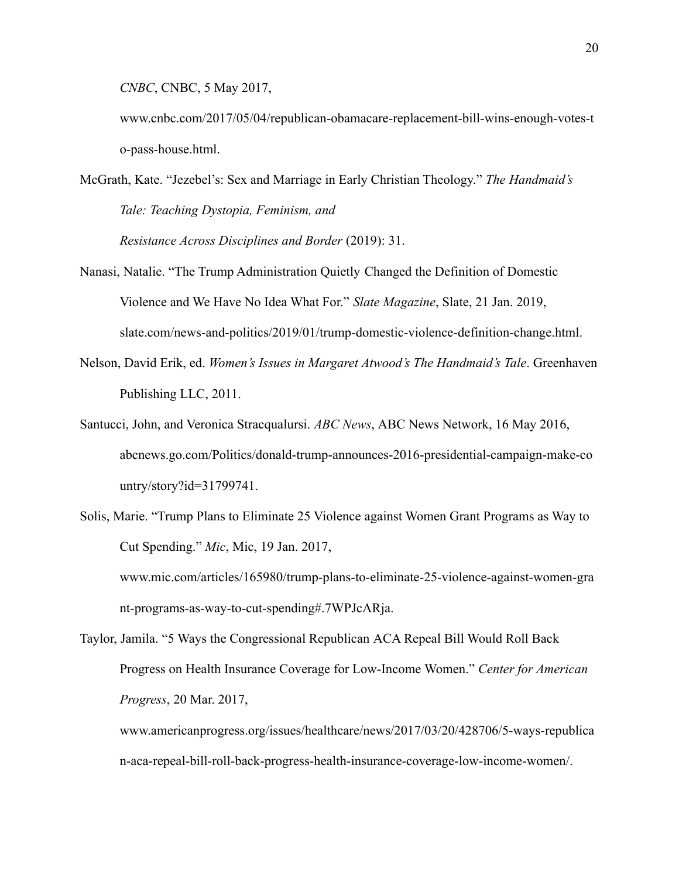*CNBC*, CNBC, 5 May 2017,

www.cnbc.com/2017/05/04/republican-obamacare-replacement-bill-wins-enough-votes-t o-pass-house.html.

McGrath, Kate. "Jezebel's: Sex and Marriage in Early Christian Theology." *The Handmaid's Tale: Teaching Dystopia, Feminism, and Resistance Across Disciplines and Border* (2019): 31.

- Nanasi, Natalie. "The Trump Administration Quietly Changed the Definition of Domestic Violence and We Have No Idea What For." *Slate Magazine*, Slate, 21 Jan. 2019, slate.com/news-and-politics/2019/01/trump-domestic-violence-definition-change.html.
- Nelson, David Erik, ed. *Women's Issues in Margaret Atwood's The Handmaid's Tale*. Greenhaven Publishing LLC, 2011.
- Santucci, John, and Veronica Stracqualursi. *ABC News*, ABC News Network, 16 May 2016, abcnews.go.com/Politics/donald-trump-announces-2016-presidential-campaign-make-co untry/story?id=31799741.
- Solis, Marie. "Trump Plans to Eliminate 25 Violence against Women Grant Programs as Way to Cut Spending." *Mic*, Mic, 19 Jan. 2017, www.mic.com/articles/165980/trump-plans-to-eliminate-25-violence-against-women-gra

nt-programs-as-way-to-cut-spending#.7WPJcARja.

Taylor, Jamila. "5 Ways the Congressional Republican ACA Repeal Bill Would Roll Back Progress on Health Insurance Coverage for Low-Income Women." *Center for American Progress*, 20 Mar. 2017,

www.americanprogress.org/issues/healthcare/news/2017/03/20/428706/5-ways-republica n-aca-repeal-bill-roll-back-progress-health-insurance-coverage-low-income-women/.